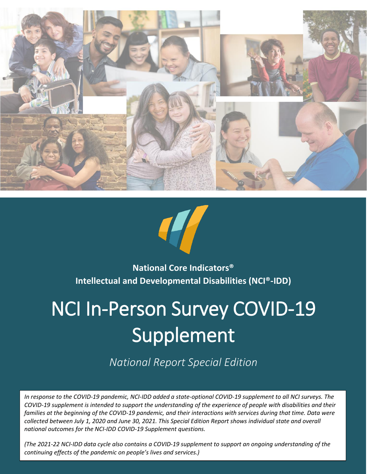



## **National Core Indicators® Intellectual and Developmental Disabilities (NCI®-IDD)**

# NCI In-Person Survey COVID-19 Supplement

*National Report Special Edition*

*In response to the COVID-19 pandemic, NCI-IDD added a state-optional COVID-19 supplement to all NCI surveys. The COVID-19 supplement is intended to support the understanding of the experience of people with disabilities and their families at the beginning of the COVID-19 pandemic, and their interactions with services during that time. Data were collected between July 1, 2020 and June 30, 2021. This Special Edition Report shows individual state and overall national outcomes for the NCI-IDD COVID-19 Supplement questions.*

*(The 2021-22 NCI-IDD data cycle also contains a COVID-19 supplement to support an ongoing understanding of the continuing effects of the pandemic on people's lives and services.)*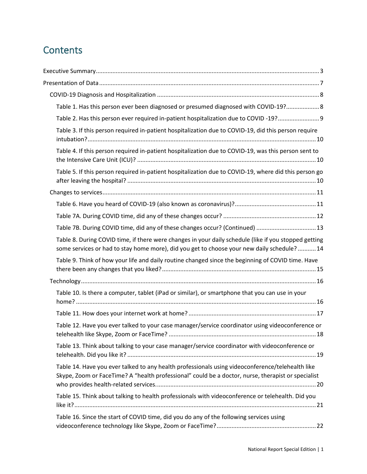## **Contents**

| Table 1. Has this person ever been diagnosed or presumed diagnosed with COVID-19? 8                                                                                                                    |
|--------------------------------------------------------------------------------------------------------------------------------------------------------------------------------------------------------|
| Table 2. Has this person ever required in-patient hospitalization due to COVID-19? 9                                                                                                                   |
| Table 3. If this person required in-patient hospitalization due to COVID-19, did this person require                                                                                                   |
| Table 4. If this person required in-patient hospitalization due to COVID-19, was this person sent to                                                                                                   |
| Table 5. If this person required in-patient hospitalization due to COVID-19, where did this person go                                                                                                  |
|                                                                                                                                                                                                        |
|                                                                                                                                                                                                        |
|                                                                                                                                                                                                        |
| Table 7B. During COVID time, did any of these changes occur? (Continued)  13                                                                                                                           |
| Table 8. During COVID time, if there were changes in your daily schedule (like if you stopped getting<br>some services or had to stay home more), did you get to choose your new daily schedule? 14    |
| Table 9. Think of how your life and daily routine changed since the beginning of COVID time. Have                                                                                                      |
|                                                                                                                                                                                                        |
| Table 10. Is there a computer, tablet (iPad or similar), or smartphone that you can use in your                                                                                                        |
|                                                                                                                                                                                                        |
| Table 12. Have you ever talked to your case manager/service coordinator using videoconference or<br>.18                                                                                                |
| Table 13. Think about talking to your case manager/service coordinator with videoconference or                                                                                                         |
| Table 14. Have you ever talked to any health professionals using videoconference/telehealth like<br>Skype, Zoom or FaceTime? A "health professional" could be a doctor, nurse, therapist or specialist |
| Table 15. Think about talking to health professionals with videoconference or telehealth. Did you                                                                                                      |
| Table 16. Since the start of COVID time, did you do any of the following services using                                                                                                                |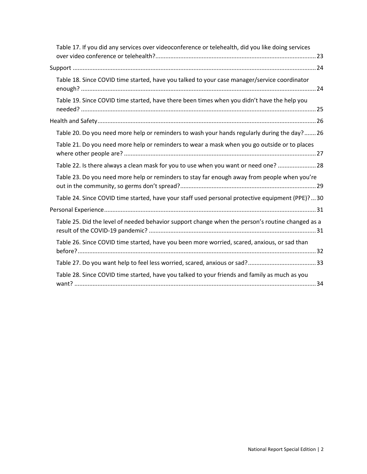| Table 17. If you did any services over videoconference or telehealth, did you like doing services |  |
|---------------------------------------------------------------------------------------------------|--|
|                                                                                                   |  |
| Table 18. Since COVID time started, have you talked to your case manager/service coordinator      |  |
| Table 19. Since COVID time started, have there been times when you didn't have the help you       |  |
|                                                                                                   |  |
| Table 20. Do you need more help or reminders to wash your hands regularly during the day? 26      |  |
| Table 21. Do you need more help or reminders to wear a mask when you go outside or to places      |  |
| Table 22. Is there always a clean mask for you to use when you want or need one?  28              |  |
| Table 23. Do you need more help or reminders to stay far enough away from people when you're      |  |
| Table 24. Since COVID time started, have your staff used personal protective equipment (PPE)?30   |  |
|                                                                                                   |  |
| Table 25. Did the level of needed behavior support change when the person's routine changed as a  |  |
| Table 26. Since COVID time started, have you been more worried, scared, anxious, or sad than      |  |
|                                                                                                   |  |
| Table 28. Since COVID time started, have you talked to your friends and family as much as you     |  |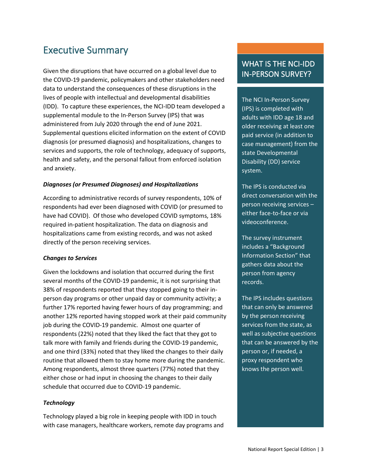## <span id="page-3-0"></span>Executive Summary

Given the disruptions that have occurred on a global level due to the COVID-19 pandemic, policymakers and other stakeholders need data to understand the consequences of these disruptions in the lives of people with intellectual and developmental disabilities (IDD). To capture these experiences, the NCI-IDD team developed a supplemental module to the In-Person Survey (IPS) that was administered from July 2020 through the end of June 2021. Supplemental questions elicited information on the extent of COVID diagnosis (or presumed diagnosis) and hospitalizations, changes to services and supports, the role of technology, adequacy of supports, health and safety, and the personal fallout from enforced isolation and anxiety.

#### *Diagnoses (or Presumed Diagnoses) and Hospitalizations*

According to administrative records of survey respondents, 10% of respondents had ever been diagnosed with COVID (or presumed to have had COVID). Of those who developed COVID symptoms, 18% required in-patient hospitalization. The data on diagnosis and hospitalizations came from existing records, and was not asked directly of the person receiving services.

#### *Changes to Services*

Given the lockdowns and isolation that occurred during the first several months of the COVID-19 pandemic, it is not surprising that 38% of respondents reported that they stopped going to their inperson day programs or other unpaid day or community activity; a further 17% reported having fewer hours of day programming; and another 12% reported having stopped work at their paid community job during the COVID-19 pandemic. Almost one quarter of respondents (22%) noted that they liked the fact that they got to talk more with family and friends during the COVID-19 pandemic, and one third (33%) noted that they liked the changes to their daily routine that allowed them to stay home more during the pandemic. Among respondents, almost three quarters (77%) noted that they either chose or had input in choosing the changes to their daily schedule that occurred due to COVID-19 pandemic.

#### *Technology*

Technology played a big role in keeping people with IDD in touch with case managers, healthcare workers, remote day programs and

#### WHAT IS THE NCI-IDD IN-PERSON SURVEY?

The NCI In-Person Survey (IPS) is completed with adults with IDD age 18 and older receiving at least one paid service (in addition to case management) from the state Developmental Disability (DD) service system.

The IPS is conducted via direct conversation with the person receiving services – either face-to-face or via videoconference.

The survey instrument includes a "Background Information Section" that gathers data about the person from agency records.

The IPS includes questions that can only be answered by the person receiving services from the state, as well as subjective questions that can be answered by the person or, if needed, a proxy respondent who knows the person well.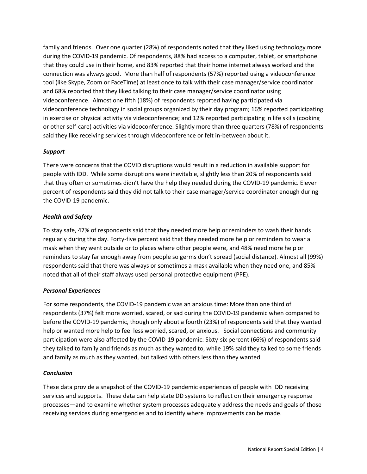family and friends. Over one quarter (28%) of respondents noted that they liked using technology more during the COVID-19 pandemic. Of respondents, 88% had access to a computer, tablet, or smartphone that they could use in their home, and 83% reported that their home internet always worked and the connection was always good. More than half of respondents (57%) reported using a videoconference tool (like Skype, Zoom or FaceTime) at least once to talk with their case manager/service coordinator and 68% reported that they liked talking to their case manager/service coordinator using videoconference. Almost one fifth (18%) of respondents reported having participated via videoconference technology in social groups organized by their day program; 16% reported participating in exercise or physical activity via videoconference; and 12% reported participating in life skills (cooking or other self-care) activities via videoconference. Slightly more than three quarters (78%) of respondents said they like receiving services through videoconference or felt in-between about it.

#### *Support*

There were concerns that the COVID disruptions would result in a reduction in available support for people with IDD. While some disruptions were inevitable, slightly less than 20% of respondents said that they often or sometimes didn't have the help they needed during the COVID-19 pandemic. Eleven percent of respondents said they did not talk to their case manager/service coordinator enough during the COVID-19 pandemic.

#### *Health and Safety*

To stay safe, 47% of respondents said that they needed more help or reminders to wash their hands regularly during the day. Forty-five percent said that they needed more help or reminders to wear a mask when they went outside or to places where other people were, and 48% need more help or reminders to stay far enough away from people so germs don't spread (social distance). Almost all (99%) respondents said that there was always or sometimes a mask available when they need one, and 85% noted that all of their staff always used personal protective equipment (PPE).

#### *Personal Experiences*

For some respondents, the COVID-19 pandemic was an anxious time: More than one third of respondents (37%) felt more worried, scared, or sad during the COVID-19 pandemic when compared to before the COVID-19 pandemic, though only about a fourth (23%) of respondents said that they wanted help or wanted more help to feel less worried, scared, or anxious. Social connections and community participation were also affected by the COVID-19 pandemic: Sixty-six percent (66%) of respondents said they talked to family and friends as much as they wanted to, while 19% said they talked to some friends and family as much as they wanted, but talked with others less than they wanted.

#### *Conclusion*

These data provide a snapshot of the COVID-19 pandemic experiences of people with IDD receiving services and supports. These data can help state DD systems to reflect on their emergency response processes—and to examine whether system processes adequately address the needs and goals of those receiving services during emergencies and to identify where improvements can be made.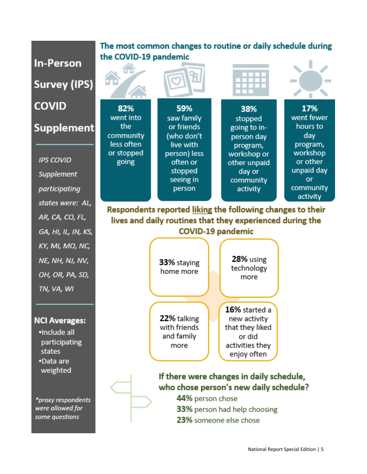#### The most common changes to routine or daily schedule during the COVID-19 pandemic **In-Person Survey (IPS) COVID** 82% 59% 17% 38% went fewer went into saw family stopped **Supplement** the. or friends hours to going to incommunity (who don't day person day less often live with program, program, or stopped workshop person) less workshop or **IPS COVID** going often or or other other unpaid unpaid day stopped day or **Supplement** seeing in community or community participating person activity activity states were: AL, Respondents reported liking the following changes to their AR, CA, CO, FL, lives and daily routines that they experienced during the **COVID-19 pandemic** GA, HI, IL, IN, KS, KY, MI, MO, NC, **28%** using NE, NH, NJ, NV, 33% staying technology home more OH, OR, PA, SD, more TN, VA, WI 16% started a 22% talking new activity **NCI Averages:** with friends that they liked ·Include all and family or did participating activities they more states enjoy often •Data are weighted If there were changes in daily schedule, who chose person's new daily schedule? 44% person chose \*proxy respondents were allowed for 33% person had help choosing

23% someone else chose

some questions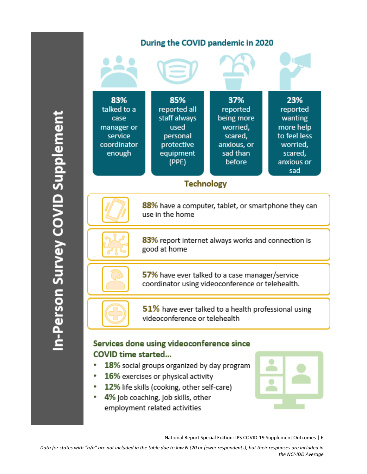

### Services done using videoconference since **COVID time started...**

- 18% social groups organized by day program
- 16% exercises or physical activity ٠
- 12% life skills (cooking, other self-care) ٠
- 4% job coaching, job skills, other ٠ employment related activities

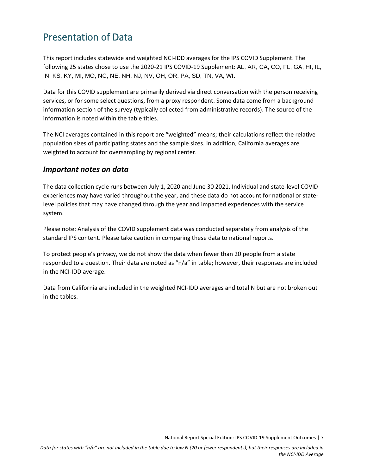## <span id="page-7-0"></span>Presentation of Data

This report includes statewide and weighted NCI-IDD averages for the IPS COVID Supplement. The following 25 states chose to use the 2020-21 IPS COVID-19 Supplement: AL, AR, CA, CO, FL, GA, HI, IL, IN, KS, KY, MI, MO, NC, NE, NH, NJ, NV, OH, OR, PA, SD, TN, VA, WI.

Data for this COVID supplement are primarily derived via direct conversation with the person receiving services, or for some select questions, from a proxy respondent. Some data come from a background information section of the survey (typically collected from administrative records). The source of the information is noted within the table titles.

The NCI averages contained in this report are "weighted" means; their calculations reflect the relative population sizes of participating states and the sample sizes. In addition, California averages are weighted to account for oversampling by regional center.

#### *Important notes on data*

The data collection cycle runs between July 1, 2020 and June 30 2021. Individual and state-level COVID experiences may have varied throughout the year, and these data do not account for national or statelevel policies that may have changed through the year and impacted experiences with the service system.

Please note: Analysis of the COVID supplement data was conducted separately from analysis of the standard IPS content. Please take caution in comparing these data to national reports.

To protect people's privacy, we do not show the data when fewer than 20 people from a state responded to a question. Their data are noted as "n/a" in table; however, their responses are included in the NCI-IDD average.

Data from California are included in the weighted NCI-IDD averages and total N but are not broken out in the tables.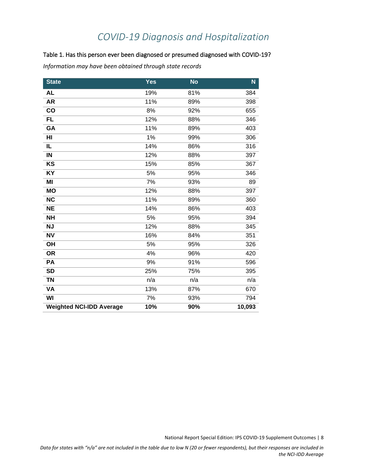## *COVID-19 Diagnosis and Hospitalization*

#### <span id="page-8-1"></span><span id="page-8-0"></span>Table 1. Has this person ever been diagnosed or presumed diagnosed with COVID-19?

*Information may have been obtained through state records*

| <b>State</b>                    | <b>Yes</b> | <b>No</b> | $\mathbf N$ |
|---------------------------------|------------|-----------|-------------|
| <b>AL</b>                       | 19%        | 81%       | 384         |
| <b>AR</b>                       | 11%        | 89%       | 398         |
| co                              | 8%         | 92%       | 655         |
| <b>FL</b>                       | 12%        | 88%       | 346         |
| GA                              | 11%        | 89%       | 403         |
| HI                              | 1%         | 99%       | 306         |
| IL                              | 14%        | 86%       | 316         |
| IN                              | 12%        | 88%       | 397         |
| KS                              | 15%        | 85%       | 367         |
| <b>KY</b>                       | 5%         | 95%       | 346         |
| MI                              | 7%         | 93%       | 89          |
| <b>MO</b>                       | 12%        | 88%       | 397         |
| <b>NC</b>                       | 11%        | 89%       | 360         |
| <b>NE</b>                       | 14%        | 86%       | 403         |
| <b>NH</b>                       | 5%         | 95%       | 394         |
| <b>NJ</b>                       | 12%        | 88%       | 345         |
| N <sub>V</sub>                  | 16%        | 84%       | 351         |
| OH                              | 5%         | 95%       | 326         |
| <b>OR</b>                       | 4%         | 96%       | 420         |
| PA                              | 9%         | 91%       | 596         |
| <b>SD</b>                       | 25%        | 75%       | 395         |
| <b>TN</b>                       | n/a        | n/a       | n/a         |
| VA                              | 13%        | 87%       | 670         |
| WI                              | 7%         | 93%       | 794         |
| <b>Weighted NCI-IDD Average</b> | 10%        | 90%       | 10,093      |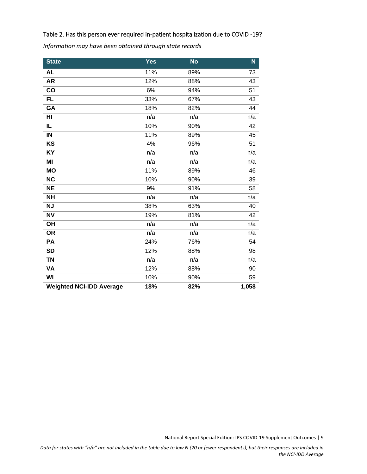#### <span id="page-9-0"></span>Table 2. Has this person ever required in-patient hospitalization due to COVID -19?

*Information may have been obtained through state records*

| <b>State</b>                    | <b>Yes</b> | <b>No</b> | N     |
|---------------------------------|------------|-----------|-------|
| <b>AL</b>                       | 11%        | 89%       | 73    |
| <b>AR</b>                       | 12%        | 88%       | 43    |
| $\overline{co}$                 | 6%         | 94%       | 51    |
| <b>FL</b>                       | 33%        | 67%       | 43    |
| GA                              | 18%        | 82%       | 44    |
| HI                              | n/a        | n/a       | n/a   |
| IL                              | 10%        | 90%       | 42    |
| $\sf IN$                        | 11%        | 89%       | 45    |
| KS                              | 4%         | 96%       | 51    |
| <b>KY</b>                       | n/a        | n/a       | n/a   |
| MI                              | n/a        | n/a       | n/a   |
| <b>MO</b>                       | 11%        | 89%       | 46    |
| <b>NC</b>                       | 10%        | 90%       | 39    |
| <b>NE</b>                       | 9%         | 91%       | 58    |
| <b>NH</b>                       | n/a        | n/a       | n/a   |
| <b>NJ</b>                       | 38%        | 63%       | 40    |
| <b>NV</b>                       | 19%        | 81%       | 42    |
| OH                              | n/a        | n/a       | n/a   |
| <b>OR</b>                       | n/a        | n/a       | n/a   |
| PA                              | 24%        | 76%       | 54    |
| <b>SD</b>                       | 12%        | 88%       | 98    |
| <b>TN</b>                       | n/a        | n/a       | n/a   |
| VA                              | 12%        | 88%       | 90    |
| WI                              | 10%        | 90%       | 59    |
| <b>Weighted NCI-IDD Average</b> | 18%        | 82%       | 1,058 |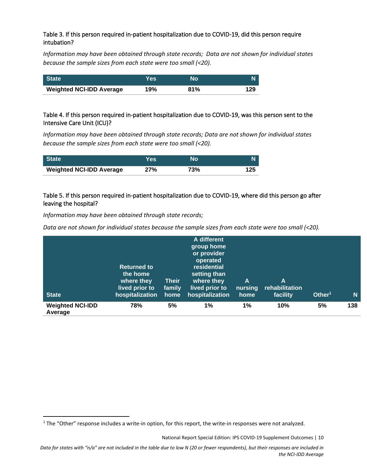#### <span id="page-10-0"></span>Table 3. If this person required in-patient hospitalization due to COVID-19, did this person require intubation?

*Information may have been obtained through state records; Data are not shown for individual states because the sample sizes from each state were too small (<20).* 

| <b>State</b>                    | Yes | Nο  |     |
|---------------------------------|-----|-----|-----|
| <b>Weighted NCI-IDD Average</b> | 19% | 81% | 129 |

#### <span id="page-10-1"></span>Table 4. If this person required in-patient hospitalization due to COVID-19, was this person sent to the Intensive Care Unit (ICU)?

*Information may have been obtained through state records; Data are not shown for individual states because the sample sizes from each state were too small (<20).* 

| <b>State</b>                    | Yes | Nο  | N   |
|---------------------------------|-----|-----|-----|
| <b>Weighted NCI-IDD Average</b> | 27% | 73% | 125 |

#### <span id="page-10-2"></span>Table 5. If this person required in-patient hospitalization due to COVID-19, where did this person go after leaving the hospital?

*Information may have been obtained through state records;* 

*Data are not shown for individual states because the sample sizes from each state were too small (<20).* 

| <b>State</b>                       | <b>Returned to</b><br>the home<br>where they<br>lived prior to<br>hospitalization | <b>Their</b><br>family<br>home | A different<br>group home<br>or provider<br>operated<br>residential<br>setting than<br>where they<br>lived prior to<br>hospitalization | $\mathsf{A}$<br>nursing<br>home | A<br>rehabilitation<br>facility | Other <sup>1</sup> | N   |
|------------------------------------|-----------------------------------------------------------------------------------|--------------------------------|----------------------------------------------------------------------------------------------------------------------------------------|---------------------------------|---------------------------------|--------------------|-----|
| <b>Weighted NCI-IDD</b><br>Average | 78%                                                                               | 5%                             | 1%                                                                                                                                     | 1%                              | 10%                             | 5%                 | 138 |

 $1$  The "Other" response includes a write-in option, for this report, the write-in responses were not analyzed.

National Report Special Edition: IPS COVID-19 Supplement Outcomes | 10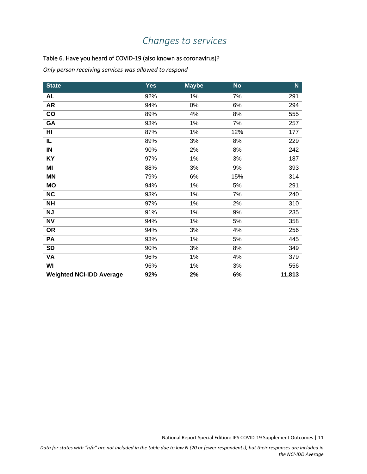## <span id="page-11-0"></span>*Changes to services*

#### <span id="page-11-1"></span>Table 6. Have you heard of COVID-19 (also known as coronavirus)?

*Only person receiving services was allowed to respond*

| <b>State</b>                    | <b>Yes</b> | <b>Maybe</b> | <b>No</b> | N.     |
|---------------------------------|------------|--------------|-----------|--------|
| <b>AL</b>                       | 92%        | 1%           | 7%        | 291    |
| <b>AR</b>                       | 94%        | 0%           | 6%        | 294    |
| co                              | 89%        | 4%           | 8%        | 555    |
| GA                              | 93%        | 1%           | 7%        | 257    |
| HI                              | 87%        | 1%           | 12%       | 177    |
| IL                              | 89%        | 3%           | 8%        | 229    |
| IN                              | 90%        | 2%           | 8%        | 242    |
| KY                              | 97%        | 1%           | 3%        | 187    |
| MI                              | 88%        | 3%           | 9%        | 393    |
| <b>MN</b>                       | 79%        | 6%           | 15%       | 314    |
| <b>MO</b>                       | 94%        | 1%           | 5%        | 291    |
| <b>NC</b>                       | 93%        | 1%           | 7%        | 240    |
| <b>NH</b>                       | 97%        | 1%           | 2%        | 310    |
| <b>NJ</b>                       | 91%        | 1%           | 9%        | 235    |
| <b>NV</b>                       | 94%        | 1%           | 5%        | 358    |
| <b>OR</b>                       | 94%        | 3%           | 4%        | 256    |
| PA                              | 93%        | 1%           | 5%        | 445    |
| <b>SD</b>                       | 90%        | 3%           | 8%        | 349    |
| <b>VA</b>                       | 96%        | 1%           | 4%        | 379    |
| WI                              | 96%        | 1%           | 3%        | 556    |
| <b>Weighted NCI-IDD Average</b> | 92%        | 2%           | 6%        | 11,813 |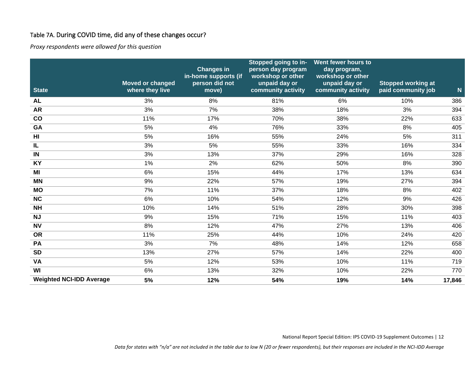#### Table 7A. During COVID time, did any of these changes occur?

*Proxy respondents were allowed for this question*

<span id="page-12-0"></span>

| <b>State</b>                    | <b>Moved or changed</b><br>where they live | <b>Changes in</b><br>in-home supports (if<br>person did not<br>move) | Stopped going to in-<br>person day program<br>workshop or other<br>unpaid day or<br>community activity | Went fewer hours to<br>day program,<br>workshop or other<br>unpaid day or<br>community activity | <b>Stopped working at</b><br>paid community job | $\mathbf N$ |
|---------------------------------|--------------------------------------------|----------------------------------------------------------------------|--------------------------------------------------------------------------------------------------------|-------------------------------------------------------------------------------------------------|-------------------------------------------------|-------------|
| <b>AL</b>                       | 3%                                         | 8%                                                                   | 81%                                                                                                    | 6%                                                                                              | 10%                                             | 386         |
| <b>AR</b>                       | 3%                                         | 7%                                                                   | 38%                                                                                                    | 18%                                                                                             | 3%                                              | 394         |
| co                              | 11%                                        | 17%                                                                  | 70%                                                                                                    | 38%                                                                                             | 22%                                             | 633         |
| GA                              | 5%                                         | 4%                                                                   | 76%                                                                                                    | 33%                                                                                             | 8%                                              | 405         |
| H <sub>I</sub>                  | 5%                                         | 16%                                                                  | 55%                                                                                                    | 24%                                                                                             | 5%                                              | 311         |
| IL                              | 3%                                         | 5%                                                                   | 55%                                                                                                    | 33%                                                                                             | 16%                                             | 334         |
| IN                              | 3%                                         | 13%                                                                  | 37%                                                                                                    | 29%                                                                                             | 16%                                             | 328         |
| <b>KY</b>                       | 1%                                         | 2%                                                                   | 62%                                                                                                    | 50%                                                                                             | 8%                                              | 390         |
| MI                              | 6%                                         | 15%                                                                  | 44%                                                                                                    | 17%                                                                                             | 13%                                             | 634         |
| <b>MN</b>                       | 9%                                         | 22%                                                                  | 57%                                                                                                    | 19%                                                                                             | 27%                                             | 394         |
| <b>MO</b>                       | 7%                                         | 11%                                                                  | 37%                                                                                                    | 18%                                                                                             | 8%                                              | 402         |
| <b>NC</b>                       | 6%                                         | 10%                                                                  | 54%                                                                                                    | 12%                                                                                             | 9%                                              | 426         |
| <b>NH</b>                       | 10%                                        | 14%                                                                  | 51%                                                                                                    | 28%                                                                                             | 30%                                             | 398         |
| <b>NJ</b>                       | 9%                                         | 15%                                                                  | 71%                                                                                                    | 15%                                                                                             | 11%                                             | 403         |
| <b>NV</b>                       | 8%                                         | 12%                                                                  | 47%                                                                                                    | 27%                                                                                             | 13%                                             | 406         |
| <b>OR</b>                       | 11%                                        | 25%                                                                  | 44%                                                                                                    | 10%                                                                                             | 24%                                             | 420         |
| PA                              | 3%                                         | 7%                                                                   | 48%                                                                                                    | 14%                                                                                             | 12%                                             | 658         |
| <b>SD</b>                       | 13%                                        | 27%                                                                  | 57%                                                                                                    | 14%                                                                                             | 22%                                             | 400         |
| <b>VA</b>                       | 5%                                         | 12%                                                                  | 53%                                                                                                    | 10%                                                                                             | 11%                                             | 719         |
| WI                              | 6%                                         | 13%                                                                  | 32%                                                                                                    | 10%                                                                                             | 22%                                             | 770         |
| <b>Weighted NCI-IDD Average</b> | 5%                                         | 12%                                                                  | 54%                                                                                                    | 19%                                                                                             | 14%                                             | 17,846      |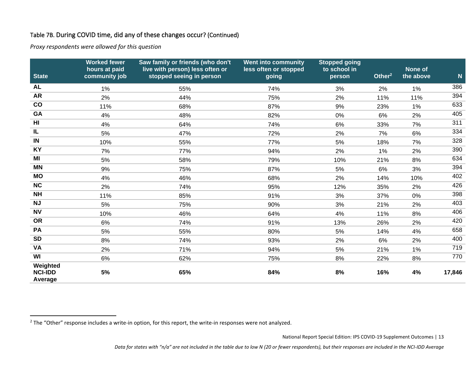#### Table 7B. During COVID time, did any of these changes occur? (Continued)

*Proxy respondents were allowed for this question*

<span id="page-13-0"></span>

| <b>State</b>                          | <b>Worked fewer</b><br>hours at paid<br>community job | Saw family or friends (who don't<br>live with person) less often or<br>stopped seeing in person | <b>Went into community</b><br>less often or stopped<br>going | <b>Stopped going</b><br>to school in<br>person | Other $2$ | None of<br>the above | $\mathbf N$ |
|---------------------------------------|-------------------------------------------------------|-------------------------------------------------------------------------------------------------|--------------------------------------------------------------|------------------------------------------------|-----------|----------------------|-------------|
| <b>AL</b>                             | 1%                                                    | 55%                                                                                             | 74%                                                          | 3%                                             | 2%        | $1\%$                | 386         |
| <b>AR</b>                             | 2%                                                    | 44%                                                                                             | 75%                                                          | 2%                                             | 11%       | 11%                  | 394         |
| co                                    | 11%                                                   | 68%                                                                                             | 87%                                                          | 9%                                             | 23%       | 1%                   | 633         |
| GA                                    | 4%                                                    | 48%                                                                                             | 82%                                                          | 0%                                             | 6%        | 2%                   | 405         |
| HI                                    | 4%                                                    | 64%                                                                                             | 74%                                                          | 6%                                             | 33%       | 7%                   | 311         |
| IL                                    | 5%                                                    | 47%                                                                                             | 72%                                                          | 2%                                             | 7%        | 6%                   | 334         |
| IN                                    | 10%                                                   | 55%                                                                                             | 77%                                                          | 5%                                             | 18%       | 7%                   | 328         |
| <b>KY</b>                             | 7%                                                    | 77%                                                                                             | 94%                                                          | 2%                                             | 1%        | 2%                   | 390         |
| MI                                    | 5%                                                    | 58%                                                                                             | 79%                                                          | 10%                                            | 21%       | 8%                   | 634         |
| <b>MN</b>                             | 9%                                                    | 75%                                                                                             | 87%                                                          | 5%                                             | 6%        | 3%                   | 394         |
| <b>MO</b>                             | 4%                                                    | 46%                                                                                             | 68%                                                          | 2%                                             | 14%       | 10%                  | 402         |
| <b>NC</b>                             | 2%                                                    | 74%                                                                                             | 95%                                                          | 12%                                            | 35%       | 2%                   | 426         |
| <b>NH</b>                             | 11%                                                   | 85%                                                                                             | 91%                                                          | 3%                                             | 37%       | 0%                   | 398         |
| <b>NJ</b>                             | 5%                                                    | 75%                                                                                             | 90%                                                          | 3%                                             | 21%       | 2%                   | 403         |
| <b>NV</b>                             | 10%                                                   | 46%                                                                                             | 64%                                                          | 4%                                             | 11%       | 8%                   | 406         |
| <b>OR</b>                             | 6%                                                    | 74%                                                                                             | 91%                                                          | 13%                                            | 26%       | 2%                   | 420         |
| <b>PA</b>                             | 5%                                                    | 55%                                                                                             | 80%                                                          | 5%                                             | 14%       | 4%                   | 658         |
| <b>SD</b>                             | 8%                                                    | 74%                                                                                             | 93%                                                          | 2%                                             | 6%        | 2%                   | 400         |
| <b>VA</b>                             | 2%                                                    | 71%                                                                                             | 94%                                                          | 5%                                             | 21%       | 1%                   | 719         |
| WI                                    | 6%                                                    | 62%                                                                                             | 75%                                                          | 8%                                             | 22%       | 8%                   | 770         |
| Weighted<br><b>NCI-IDD</b><br>Average | 5%                                                    | 65%                                                                                             | 84%                                                          | 8%                                             | 16%       | 4%                   | 17,846      |

 $2$  The "Other" response includes a write-in option, for this report, the write-in responses were not analyzed.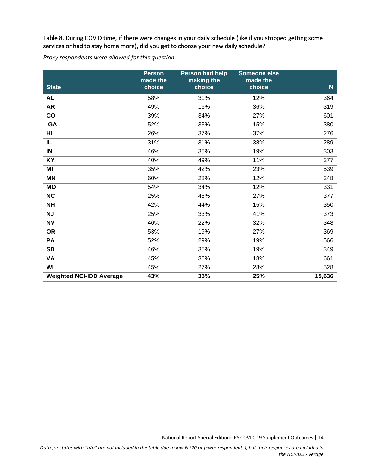#### <span id="page-14-0"></span>Table 8. During COVID time, if there were changes in your daily schedule (like if you stopped getting some services or had to stay home more), did you get to choose your new daily schedule?

*Proxy respondents were allowed for this question*

| <b>State</b>                    | <b>Person</b><br>made the<br>choice | <b>Person had help</b><br>making the<br>choice | Someone else<br>made the<br>choice | $\mathbf N$     |
|---------------------------------|-------------------------------------|------------------------------------------------|------------------------------------|-----------------|
| <b>AL</b>                       | 58%                                 | 31%                                            | 12%                                | 364             |
| <b>AR</b>                       | 49%                                 | 16%                                            | 36%                                | 319             |
| co                              | 39%                                 | 34%                                            | 27%                                | 601             |
| GA                              | 52%                                 | 33%                                            | 15%                                | 380             |
| H <sub>II</sub>                 | 26%                                 | 37%                                            | 37%                                | 276             |
| IL                              | 31%                                 | 31%                                            | 38%                                | 289             |
| IN                              | 46%                                 | 35%                                            | 19%                                | 303             |
| KY                              | 40%                                 | 49%                                            | 11%                                | 377             |
| MI                              | 35%                                 | 42%                                            | 23%                                | 539             |
| <b>MN</b>                       | 60%                                 | 28%                                            | 12%                                | 348             |
| <b>MO</b>                       | 54%                                 | 34%                                            | 12%                                | $\frac{1}{331}$ |
| NC                              | 25%                                 | 48%                                            | 27%                                | 377             |
| <b>NH</b>                       | 42%                                 | 44%                                            | 15%                                | 350             |
| <b>NJ</b>                       | 25%                                 | 33%                                            | 41%                                | 373             |
| <b>NV</b>                       | 46%                                 | 22%                                            | 32%                                | 348             |
| <b>OR</b>                       | 53%                                 | 19%                                            | 27%                                | 369             |
| PA                              | 52%                                 | 29%                                            | 19%                                | 566             |
| <b>SD</b>                       | 46%                                 | 35%                                            | 19%                                | 349             |
| VA                              | 45%                                 | 36%                                            | 18%                                | 661             |
| WI                              | 45%                                 | 27%                                            | 28%                                | 528             |
| <b>Weighted NCI-IDD Average</b> | 43%                                 | 33%                                            | 25%                                | 15,636          |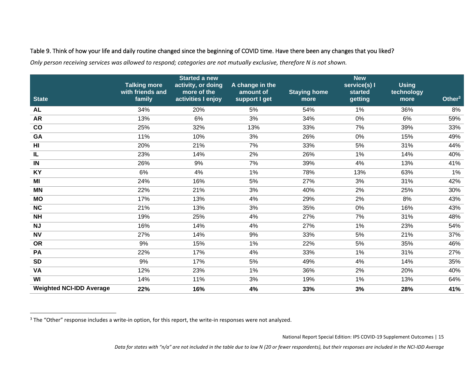#### Table 9. Think of how your life and daily routine changed since the beginning of COVID time. Have there been any changes that you liked?

*Only person receiving services was allowed to respond; categories are not mutually exclusive, therefore N is not shown.*

<span id="page-15-0"></span>

| <b>State</b>                    | <b>Talking more</b><br>with friends and<br>family | <b>Started a new</b><br>activity, or doing<br>more of the<br>activities I enjoy | A change in the<br>amount of<br>support I get | <b>Staying home</b><br>more | <b>New</b><br>service(s) I<br>started<br>getting | <b>Using</b><br>technology<br>more | Other $3$ |
|---------------------------------|---------------------------------------------------|---------------------------------------------------------------------------------|-----------------------------------------------|-----------------------------|--------------------------------------------------|------------------------------------|-----------|
| <b>AL</b>                       | 34%                                               | 20%                                                                             | 5%                                            | 54%                         | $1\%$                                            | 36%                                | 8%        |
| <b>AR</b>                       | 13%                                               | 6%                                                                              | 3%                                            | 34%                         | 0%                                               | 6%                                 | 59%       |
| co                              | 25%                                               | 32%                                                                             | 13%                                           | 33%                         | 7%                                               | 39%                                | 33%       |
| GA                              | 11%                                               | 10%                                                                             | 3%                                            | 26%                         | 0%                                               | 15%                                | 49%       |
| $\overline{H}$                  | 20%                                               | 21%                                                                             | 7%                                            | 33%                         | 5%                                               | 31%                                | 44%       |
| IL                              | 23%                                               | 14%                                                                             | 2%                                            | 26%                         | 1%                                               | 14%                                | 40%       |
| IN                              | 26%                                               | 9%                                                                              | 7%                                            | 39%                         | 4%                                               | 13%                                | 41%       |
| <b>KY</b>                       | 6%                                                | 4%                                                                              | 1%                                            | 78%                         | 13%                                              | 63%                                | 1%        |
| MI                              | 24%                                               | 16%                                                                             | 5%                                            | 27%                         | 3%                                               | 31%                                | 42%       |
| <b>MN</b>                       | 22%                                               | 21%                                                                             | 3%                                            | 40%                         | 2%                                               | 25%                                | 30%       |
| <b>MO</b>                       | 17%                                               | 13%                                                                             | 4%                                            | 29%                         | 2%                                               | 8%                                 | 43%       |
| NC                              | 21%                                               | 13%                                                                             | 3%                                            | 35%                         | 0%                                               | 16%                                | 43%       |
| NH                              | 19%                                               | 25%                                                                             | 4%                                            | 27%                         | 7%                                               | 31%                                | 48%       |
| <b>NJ</b>                       | 16%                                               | 14%                                                                             | 4%                                            | 27%                         | 1%                                               | 23%                                | 54%       |
| <b>NV</b>                       | 27%                                               | 14%                                                                             | 9%                                            | 33%                         | 5%                                               | 21%                                | 37%       |
| <b>OR</b>                       | 9%                                                | 15%                                                                             | 1%                                            | 22%                         | 5%                                               | 35%                                | 46%       |
| PA                              | 22%                                               | 17%                                                                             | 4%                                            | 33%                         | $1\%$                                            | 31%                                | 27%       |
| <b>SD</b>                       | 9%                                                | 17%                                                                             | 5%                                            | 49%                         | 4%                                               | 14%                                | 35%       |
| <b>VA</b>                       | 12%                                               | 23%                                                                             | 1%                                            | 36%                         | 2%                                               | 20%                                | 40%       |
| WI                              | 14%                                               | 11%                                                                             | 3%                                            | 19%                         | 1%                                               | 13%                                | 64%       |
| <b>Weighted NCI-IDD Average</b> | 22%                                               | 16%                                                                             | 4%                                            | 33%                         | 3%                                               | 28%                                | 41%       |

National Report Special Edition: IPS COVID-19 Supplement Outcomes | 15

*Data for states with "n/a" are not included in the table due to low N (20 or fewer respondents), but their responses are included in the NCI-IDD Average*

<sup>&</sup>lt;sup>3</sup> The "Other" response includes a write-in option, for this report, the write-in responses were not analyzed.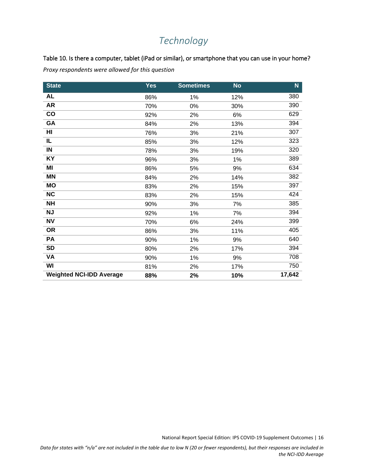## *Technology*

<span id="page-16-1"></span><span id="page-16-0"></span>Table 10. Is there a computer, tablet (iPad or similar), or smartphone that you can use in your home?

*Proxy respondents were allowed for this question*

| <b>State</b>                    | <b>Yes</b> | <b>Sometimes</b> | <b>No</b> | N.     |
|---------------------------------|------------|------------------|-----------|--------|
| <b>AL</b>                       | 86%        | $1\%$            | 12%       | 380    |
| <b>AR</b>                       | 70%        | $0\%$            | 30%       | 390    |
| co                              | 92%        | 2%               | 6%        | 629    |
| GA                              | 84%        | 2%               | 13%       | 394    |
| HI                              | 76%        | 3%               | 21%       | 307    |
| IL                              | 85%        | 3%               | 12%       | 323    |
| $\blacksquare$                  | 78%        | 3%               | 19%       | 320    |
| KY                              | 96%        | 3%               | 1%        | 389    |
| ΜI                              | 86%        | 5%               | 9%        | 634    |
| <b>MN</b>                       | 84%        | 2%               | 14%       | 382    |
| MO                              | 83%        | 2%               | 15%       | 397    |
| <b>NC</b>                       | 83%        | 2%               | 15%       | 424    |
| <b>NH</b>                       | 90%        | 3%               | 7%        | 385    |
| <b>NJ</b>                       | 92%        | 1%               | 7%        | 394    |
| <b>NV</b>                       | 70%        | 6%               | 24%       | 399    |
| <b>OR</b>                       | 86%        | 3%               | 11%       | 405    |
| PA                              | 90%        | 1%               | 9%        | 640    |
| <b>SD</b>                       | 80%        | 2%               | 17%       | 394    |
| <b>VA</b>                       | 90%        | 1%               | 9%        | 708    |
| WI                              | 81%        | 2%               | 17%       | 750    |
| <b>Weighted NCI-IDD Average</b> | 88%        | 2%               | 10%       | 17,642 |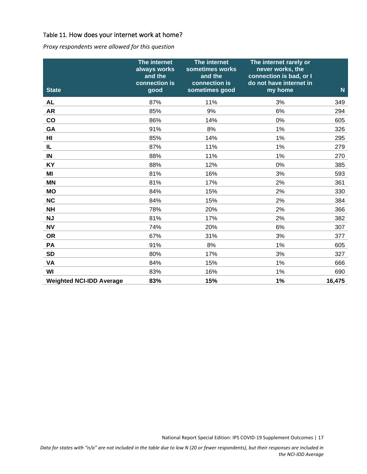#### <span id="page-17-0"></span>Table 11. How does your internet work at home?

*Proxy respondents were allowed for this question*

| <b>State</b>                    | The internet<br>always works<br>and the<br>connection is<br>good | The internet<br>sometimes works<br>and the<br>connection is<br>sometimes good | The internet rarely or<br>never works, the<br>connection is bad, or I<br>do not have internet in<br>my home | $\mathsf{N}$ |
|---------------------------------|------------------------------------------------------------------|-------------------------------------------------------------------------------|-------------------------------------------------------------------------------------------------------------|--------------|
| <b>AL</b>                       | 87%                                                              | 11%                                                                           | 3%                                                                                                          | 349          |
| <b>AR</b>                       | 85%                                                              | 9%                                                                            | 6%                                                                                                          | 294          |
| co                              | 86%                                                              | 14%                                                                           | 0%                                                                                                          | 605          |
| GA                              | 91%                                                              | 8%                                                                            | 1%                                                                                                          | 326          |
| H <sub>l</sub>                  | 85%                                                              | 14%                                                                           | 1%                                                                                                          | 295          |
| IL                              | 87%                                                              | 11%                                                                           | $1\%$                                                                                                       | 279          |
| $\blacksquare$                  | 88%                                                              | 11%                                                                           | 1%                                                                                                          | 270          |
| KY                              | 88%                                                              | 12%                                                                           | 0%                                                                                                          | 385          |
| MI                              | 81%                                                              | 16%                                                                           | 3%                                                                                                          | 593          |
| <b>MN</b>                       | 81%                                                              | 17%                                                                           | 2%                                                                                                          | 361          |
| <b>MO</b>                       | 84%                                                              | 15%                                                                           | 2%                                                                                                          | 330          |
| NC                              | 84%                                                              | 15%                                                                           | 2%                                                                                                          | 384          |
| <b>NH</b>                       | 78%                                                              | 20%                                                                           | 2%                                                                                                          | 366          |
| <b>NJ</b>                       | 81%                                                              | 17%                                                                           | 2%                                                                                                          | 382          |
| <b>NV</b>                       | 74%                                                              | 20%                                                                           | 6%                                                                                                          | 307          |
| <b>OR</b>                       | 67%                                                              | 31%                                                                           | 3%                                                                                                          | 377          |
| PA                              | 91%                                                              | 8%                                                                            | 1%                                                                                                          | 605          |
| <b>SD</b>                       | 80%                                                              | 17%                                                                           | 3%                                                                                                          | 327          |
| VA                              | 84%                                                              | 15%                                                                           | 1%                                                                                                          | 666          |
| WI                              | 83%                                                              | 16%                                                                           | 1%                                                                                                          | 690          |
| <b>Weighted NCI-IDD Average</b> | 83%                                                              | 15%                                                                           | 1%                                                                                                          | 16,475       |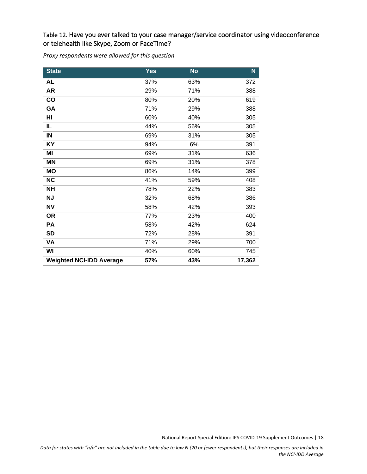#### <span id="page-18-0"></span>Table 12. Have you ever talked to your case manager/service coordinator using videoconference or telehealth like Skype, Zoom or FaceTime?

*Proxy respondents were allowed for this question*

| <b>State</b>                    | Yes | <b>No</b> | N.     |
|---------------------------------|-----|-----------|--------|
| <b>AL</b>                       | 37% | 63%       | 372    |
| <b>AR</b>                       | 29% | 71%       | 388    |
| co                              | 80% | 20%       | 619    |
| GA                              | 71% | 29%       | 388    |
| HI                              | 60% | 40%       | 305    |
| IL                              | 44% | 56%       | 305    |
| $\blacksquare$                  | 69% | 31%       | 305    |
| KY                              | 94% | 6%        | 391    |
| MI                              | 69% | 31%       | 636    |
| <b>MN</b>                       | 69% | 31%       | 378    |
| <b>MO</b>                       | 86% | 14%       | 399    |
| <b>NC</b>                       | 41% | 59%       | 408    |
| <b>NH</b>                       | 78% | 22%       | 383    |
| <b>NJ</b>                       | 32% | 68%       | 386    |
| <b>NV</b>                       | 58% | 42%       | 393    |
| <b>OR</b>                       | 77% | 23%       | 400    |
| PA                              | 58% | 42%       | 624    |
| <b>SD</b>                       | 72% | 28%       | 391    |
| VA                              | 71% | 29%       | 700    |
| WI                              | 40% | 60%       | 745    |
| <b>Weighted NCI-IDD Average</b> | 57% | 43%       | 17,362 |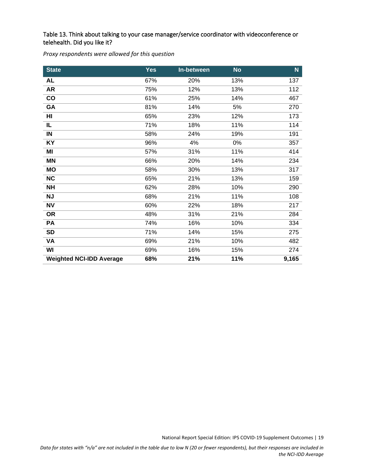#### <span id="page-19-0"></span>Table 13. Think about talking to your case manager/service coordinator with videoconference or telehealth. Did you like it?

*Proxy respondents were allowed for this question*

| <b>State</b>                    | <b>Yes</b> | In-between | <b>No</b> | $\mathbf N$ |
|---------------------------------|------------|------------|-----------|-------------|
| <b>AL</b>                       | 67%        | 20%        | 13%       | 137         |
| <b>AR</b>                       | 75%        | 12%        | 13%       | 112         |
| co                              | 61%        | 25%        | 14%       | 467         |
| GA                              | 81%        | 14%        | 5%        | 270         |
| HI                              | 65%        | 23%        | 12%       | 173         |
| IL                              | 71%        | 18%        | 11%       | 114         |
| $\blacksquare$                  | 58%        | 24%        | 19%       | 191         |
| KY                              | 96%        | 4%         | 0%        | 357         |
| MI                              | 57%        | 31%        | 11%       | 414         |
| <b>MN</b>                       | 66%        | 20%        | 14%       | 234         |
| <b>MO</b>                       | 58%        | 30%        | 13%       | 317         |
| <b>NC</b>                       | 65%        | 21%        | 13%       | 159         |
| <b>NH</b>                       | 62%        | 28%        | 10%       | 290         |
| <b>NJ</b>                       | 68%        | 21%        | 11%       | 108         |
| <b>NV</b>                       | 60%        | 22%        | 18%       | 217         |
| <b>OR</b>                       | 48%        | 31%        | 21%       | 284         |
| PA                              | 74%        | 16%        | 10%       | 334         |
| <b>SD</b>                       | 71%        | 14%        | 15%       | 275         |
| VA                              | 69%        | 21%        | 10%       | 482         |
| WI                              | 69%        | 16%        | 15%       | 274         |
| <b>Weighted NCI-IDD Average</b> | 68%        | 21%        | 11%       | 9,165       |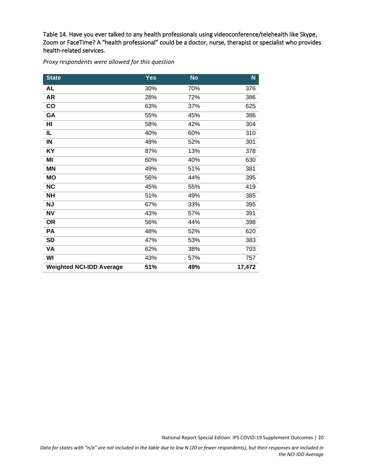<span id="page-20-0"></span>Table 14. Have you ever talked to any health professionals using videoconference/telehealth like Skype, Zoom or FaceTime? A "health professional" could be a doctor, nurse, therapist or specialist who provides health-related services.

*Proxy respondents were allowed for this question*

| <b>State</b>                    | <b>Yes</b> | <b>No</b> | N      |
|---------------------------------|------------|-----------|--------|
| AL                              | 30%        | 70%       | 376    |
| <b>AR</b>                       | 28%        | 72%       | 386    |
| co                              | 63%        | 37%       | 625    |
| GA                              | 55%        | 45%       | 386    |
| HI                              | 58%        | 42%       | 304    |
| IL                              | 40%        | 60%       | 310    |
| $\blacksquare$                  | 48%        | 52%       | 301    |
| KY                              | 87%        | 13%       | 378    |
| MI                              | 60%        | 40%       | 630    |
| <b>MN</b>                       | 49%        | 51%       | 381    |
| <b>MO</b>                       | 56%        | 44%       | 395    |
| <b>NC</b>                       | 45%        | 55%       | 419    |
| <b>NH</b>                       | 51%        | 49%       | 385    |
| <b>NJ</b>                       | 67%        | 33%       | 395    |
| <b>NV</b>                       | 43%        | 57%       | 391    |
| <b>OR</b>                       | 56%        | 44%       | 398    |
| PA                              | 48%        | 52%       | 620    |
| <b>SD</b>                       | 47%        | 53%       | 383    |
| VA                              | 62%        | 38%       | 703    |
| WI                              | 43%        | 57%       | 757    |
| <b>Weighted NCI-IDD Average</b> | 51%        | 49%       | 17,472 |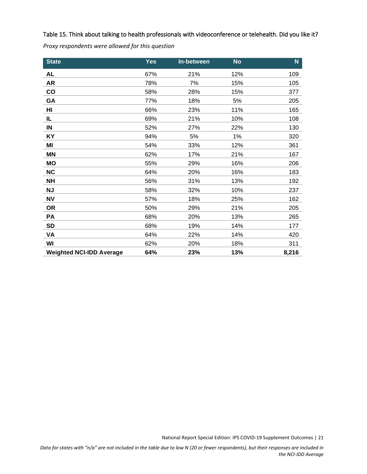<span id="page-21-0"></span>Table 15. Think about talking to health professionals with videoconference or telehealth. Did you like it? *Proxy respondents were allowed for this question*

| <b>State</b>                    | <b>Yes</b> | In-between | <b>No</b> | N.    |
|---------------------------------|------------|------------|-----------|-------|
| <b>AL</b>                       | 67%        | 21%        | 12%       | 109   |
| <b>AR</b>                       | 78%        | 7%         | 15%       | 105   |
| $\mathbf{co}$                   | 58%        | 28%        | 15%       | 377   |
| GA                              | 77%        | 18%        | 5%        | 205   |
| HI                              | 66%        | 23%        | 11%       | 165   |
| IL                              | 69%        | 21%        | 10%       | 108   |
| IN                              | 52%        | 27%        | 22%       | 130   |
| <b>KY</b>                       | 94%        | 5%         | 1%        | 320   |
| MI                              | 54%        | 33%        | 12%       | 361   |
| ΜN                              | 62%        | 17%        | 21%       | 167   |
| <b>MO</b>                       | 55%        | 29%        | 16%       | 206   |
| <b>NC</b>                       | 64%        | 20%        | 16%       | 183   |
| <b>NH</b>                       | 56%        | 31%        | 13%       | 192   |
| <b>NJ</b>                       | 58%        | 32%        | 10%       | 237   |
| <b>NV</b>                       | 57%        | 18%        | 25%       | 162   |
| <b>OR</b>                       | 50%        | 29%        | 21%       | 205   |
| PA                              | 68%        | 20%        | 13%       | 265   |
| <b>SD</b>                       | 68%        | 19%        | 14%       | 177   |
| VA                              | 64%        | 22%        | 14%       | 420   |
| WI                              | 62%        | 20%        | 18%       | 311   |
| <b>Weighted NCI-IDD Average</b> | 64%        | 23%        | 13%       | 8,216 |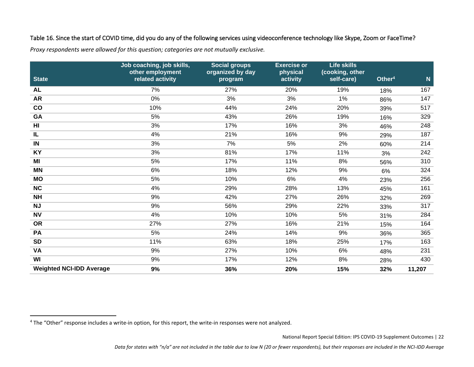#### Table 16. Since the start of COVID time, did you do any of the following services using videoconference technology like Skype, Zoom or FaceTime?

*Proxy respondents were allowed for this question; categories are not mutually exclusive.* 

<span id="page-22-0"></span>

| <b>State</b>                    | Job coaching, job skills,<br>other employment<br>related activity | <b>Social groups</b><br>organized by day<br>program | <b>Exercise or</b><br>physical<br>activity | <b>Life skills</b><br>(cooking, other<br>self-care) | Other <sup>4</sup> | N      |
|---------------------------------|-------------------------------------------------------------------|-----------------------------------------------------|--------------------------------------------|-----------------------------------------------------|--------------------|--------|
| <b>AL</b>                       | 7%                                                                | 27%                                                 | 20%                                        | 19%                                                 | 18%                | 167    |
| <b>AR</b>                       | 0%                                                                | 3%                                                  | 3%                                         | 1%                                                  | 86%                | 147    |
| $\mathsf{co}$                   | 10%                                                               | 44%                                                 | 24%                                        | 20%                                                 | 39%                | 517    |
| GA                              | $5%$                                                              | 43%                                                 | 26%                                        | 19%                                                 | 16%                | 329    |
| H <sub>II</sub>                 | 3%                                                                | 17%                                                 | 16%                                        | 3%                                                  | 46%                | 248    |
| IL                              | 4%                                                                | 21%                                                 | 16%                                        | 9%                                                  | 29%                | 187    |
| IN                              | 3%                                                                | 7%                                                  | 5%                                         | 2%                                                  | 60%                | 214    |
| KY                              | 3%                                                                | 81%                                                 | 17%                                        | 11%                                                 | 3%                 | 242    |
| MI                              | 5%                                                                | 17%                                                 | 11%                                        | 8%                                                  | 56%                | 310    |
| <b>MN</b>                       | 6%                                                                | 18%                                                 | 12%                                        | 9%                                                  | 6%                 | 324    |
| <b>MO</b>                       | 5%                                                                | 10%                                                 | 6%                                         | 4%                                                  | 23%                | 256    |
| NC                              | 4%                                                                | 29%                                                 | 28%                                        | 13%                                                 | 45%                | 161    |
| <b>NH</b>                       | 9%                                                                | 42%                                                 | 27%                                        | 26%                                                 | 32%                | 269    |
| <b>NJ</b>                       | 9%                                                                | 56%                                                 | 29%                                        | 22%                                                 | 33%                | 317    |
| <b>NV</b>                       | 4%                                                                | 10%                                                 | 10%                                        | 5%                                                  | 31%                | 284    |
| <b>OR</b>                       | 27%                                                               | 27%                                                 | 16%                                        | 21%                                                 | 15%                | 164    |
| PA                              | $5%$                                                              | 24%                                                 | 14%                                        | 9%                                                  | 36%                | 365    |
| <b>SD</b>                       | 11%                                                               | 63%                                                 | 18%                                        | 25%                                                 | 17%                | 163    |
| <b>VA</b>                       | 9%                                                                | 27%                                                 | 10%                                        | 6%                                                  | 48%                | 231    |
| WI                              | 9%                                                                | 17%                                                 | 12%                                        | 8%                                                  | 28%                | 430    |
| <b>Weighted NCI-IDD Average</b> | 9%                                                                | 36%                                                 | 20%                                        | 15%                                                 | 32%                | 11,207 |

<sup>4</sup> The "Other" response includes a write-in option, for this report, the write-in responses were not analyzed.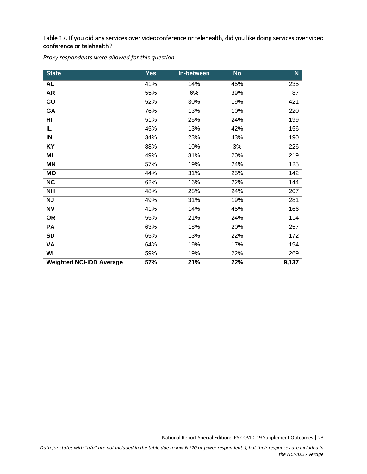<span id="page-23-0"></span>Table 17. If you did any services over videoconference or telehealth, did you like doing services over video conference or telehealth?

*Proxy respondents were allowed for this question*

| <b>State</b>                    | <b>Yes</b> | In-between | <b>No</b> | $\mathsf{N}$ |
|---------------------------------|------------|------------|-----------|--------------|
| <b>AL</b>                       | 41%        | 14%        | 45%       | 235          |
| <b>AR</b>                       | 55%        | 6%         | 39%       | 87           |
| $\mathbf{co}$                   | 52%        | 30%        | 19%       | 421          |
| GA                              | 76%        | 13%        | 10%       | 220          |
| HI                              | 51%        | 25%        | 24%       | 199          |
| IL                              | 45%        | 13%        | 42%       | 156          |
| $\blacksquare$                  | 34%        | 23%        | 43%       | 190          |
| KY                              | 88%        | 10%        | 3%        | 226          |
| ΜI                              | 49%        | 31%        | 20%       | 219          |
| <b>MN</b>                       | 57%        | 19%        | 24%       | 125          |
| <b>MO</b>                       | 44%        | 31%        | 25%       | 142          |
| <b>NC</b>                       | 62%        | 16%        | 22%       | 144          |
| <b>NH</b>                       | 48%        | 28%        | 24%       | 207          |
| <b>NJ</b>                       | 49%        | 31%        | 19%       | 281          |
| <b>NV</b>                       | 41%        | 14%        | 45%       | 166          |
| <b>OR</b>                       | 55%        | 21%        | 24%       | 114          |
| PA                              | 63%        | 18%        | 20%       | 257          |
| <b>SD</b>                       | 65%        | 13%        | 22%       | 172          |
| VA                              | 64%        | 19%        | 17%       | 194          |
| WI                              | 59%        | 19%        | 22%       | 269          |
| <b>Weighted NCI-IDD Average</b> | 57%        | 21%        | 22%       | 9,137        |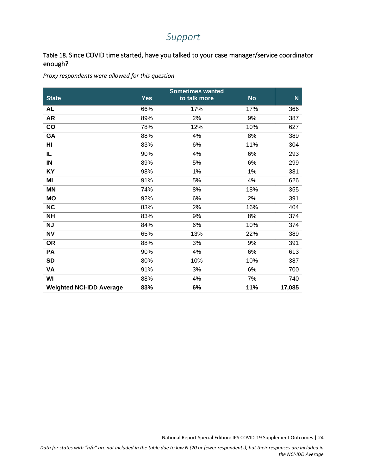## *Support*

#### <span id="page-24-1"></span><span id="page-24-0"></span>Table 18. Since COVID time started, have you talked to your case manager/service coordinator enough?

*Proxy respondents were allowed for this question*

|                                 |            | <b>Sometimes wanted</b> |           |           |
|---------------------------------|------------|-------------------------|-----------|-----------|
| <b>State</b>                    | <b>Yes</b> | to talk more            | <b>No</b> | ${\bf N}$ |
| AL                              | 66%        | 17%                     | 17%       | 366       |
| <b>AR</b>                       | 89%        | 2%                      | 9%        | 387       |
| co                              | 78%        | 12%                     | 10%       | 627       |
| GA                              | 88%        | 4%                      | 8%        | 389       |
| HI                              | 83%        | 6%                      | 11%       | 304       |
| IL                              | 90%        | 4%                      | 6%        | 293       |
| IN                              | 89%        | 5%                      | 6%        | 299       |
| KY                              | 98%        | 1%                      | 1%        | 381       |
| MI                              | 91%        | 5%                      | 4%        | 626       |
| <b>MN</b>                       | 74%        | 8%                      | 18%       | 355       |
| <b>MO</b>                       | 92%        | 6%                      | 2%        | 391       |
| <b>NC</b>                       | 83%        | 2%                      | 16%       | 404       |
| <b>NH</b>                       | 83%        | 9%                      | 8%        | 374       |
| <b>NJ</b>                       | 84%        | 6%                      | 10%       | 374       |
| <b>NV</b>                       | 65%        | 13%                     | 22%       | 389       |
| <b>OR</b>                       | 88%        | 3%                      | 9%        | 391       |
| <b>PA</b>                       | 90%        | 4%                      | 6%        | 613       |
| <b>SD</b>                       | 80%        | 10%                     | 10%       | 387       |
| VA                              | 91%        | 3%                      | 6%        | 700       |
| WI                              | 88%        | 4%                      | 7%        | 740       |
| <b>Weighted NCI-IDD Average</b> | 83%        | 6%                      | 11%       | 17,085    |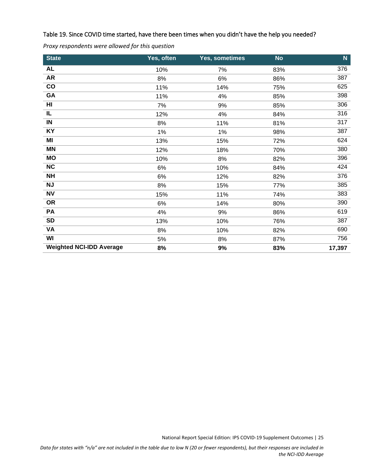#### <span id="page-25-0"></span>Table 19. Since COVID time started, have there been times when you didn't have the help you needed?

| <b>State</b>                    | Yes, often | Yes, sometimes | <b>No</b> | $\mathbf N$ |
|---------------------------------|------------|----------------|-----------|-------------|
| <b>AL</b>                       | 10%        | 7%             | 83%       | 376         |
| <b>AR</b>                       | 8%         | 6%             | 86%       | 387         |
| co                              | 11%        | 14%            | 75%       | 625         |
| GA                              | 11%        | 4%             | 85%       | 398         |
| HI                              | 7%         | 9%             | 85%       | 306         |
| IL                              | 12%        | 4%             | 84%       | 316         |
| IN                              | 8%         | 11%            | 81%       | 317         |
| KY                              | $1\%$      | 1%             | 98%       | 387         |
| ΜI                              | 13%        | 15%            | 72%       | 624         |
| <b>MN</b>                       | 12%        | 18%            | 70%       | 380         |
| <b>MO</b>                       | 10%        | 8%             | 82%       | 396         |
| NC                              | 6%         | 10%            | 84%       | 424         |
| <b>NH</b>                       | 6%         | 12%            | 82%       | 376         |
| <b>NJ</b>                       | 8%         | 15%            | 77%       | 385         |
| <b>NV</b>                       | 15%        | 11%            | 74%       | 383         |
| <b>OR</b>                       | 6%         | 14%            | 80%       | 390         |
| <b>PA</b>                       | 4%         | 9%             | 86%       | 619         |
| <b>SD</b>                       | 13%        | 10%            | 76%       | 387         |
| VA                              | 8%         | 10%            | 82%       | 690         |
| WI                              | 5%         | 8%             | 87%       | 756         |
| <b>Weighted NCI-IDD Average</b> | 8%         | 9%             | 83%       | 17,397      |

*Proxy respondents were allowed for this question*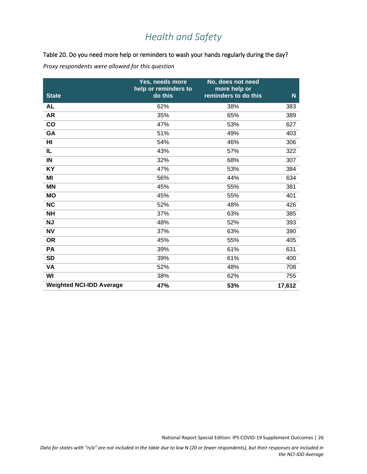## *Health and Safety*

#### <span id="page-26-1"></span><span id="page-26-0"></span>Table 20. Do you need more help or reminders to wash your hands regularly during the day?

*Proxy respondents were allowed for this question*

| <b>State</b>                    | Yes, needs more<br>help or reminders to<br>do this | No, does not need<br>more help or<br>reminders to do this | $\mathbf N$ |
|---------------------------------|----------------------------------------------------|-----------------------------------------------------------|-------------|
| <b>AL</b>                       | 62%                                                | 38%                                                       | 383         |
| <b>AR</b>                       | 35%                                                | 65%                                                       | 389         |
| co                              | 47%                                                | 53%                                                       | 627         |
| GA                              | 51%                                                | 49%                                                       | 403         |
| HI                              | 54%                                                | 46%                                                       | 306         |
| IL                              | 43%                                                | 57%                                                       | 322         |
| IN                              | 32%                                                | 68%                                                       | 307         |
| KY                              | 47%                                                | 53%                                                       | 384         |
| ΜI                              | 56%                                                | 44%                                                       | 634         |
| <b>MN</b>                       | 45%                                                | 55%                                                       | 381         |
| <b>MO</b>                       | 45%                                                | 55%                                                       | 401         |
| <b>NC</b>                       | 52%                                                | 48%                                                       | 426         |
| <b>NH</b>                       | 37%                                                | 63%                                                       | 385         |
| <b>NJ</b>                       | 48%                                                | 52%                                                       | 393         |
| <b>NV</b>                       | 37%                                                | 63%                                                       | 390         |
| <b>OR</b>                       | 45%                                                | 55%                                                       | 405         |
| PA                              | 39%                                                | 61%                                                       | 631         |
| <b>SD</b>                       | 39%                                                | 61%                                                       | 400         |
| VA                              | 52%                                                | 48%                                                       | 708         |
| WI                              | 38%                                                | 62%                                                       | 755         |
| <b>Weighted NCI-IDD Average</b> | 47%                                                | 53%                                                       | 17,612      |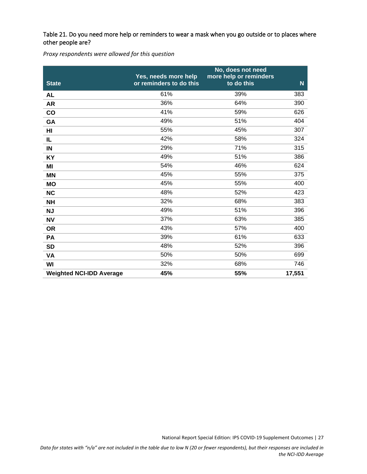#### <span id="page-27-0"></span>Table 21. Do you need more help or reminders to wear a mask when you go outside or to places where other people are?

*Proxy respondents were allowed for this question*

| <b>State</b>                    | Yes, needs more help<br>or reminders to do this | No, does not need<br>more help or reminders<br>to do this | $\mathbf N$ |
|---------------------------------|-------------------------------------------------|-----------------------------------------------------------|-------------|
| <b>AL</b>                       | 61%                                             | 39%                                                       | 383         |
| <b>AR</b>                       | 36%                                             | 64%                                                       | 390         |
| co                              | 41%                                             | 59%                                                       | 626         |
| GA                              | 49%                                             | 51%                                                       | 404         |
| HI                              | 55%                                             | 45%                                                       | 307         |
| IL                              | 42%                                             | 58%                                                       | 324         |
| IN                              | 29%                                             | 71%                                                       | 315         |
| <b>KY</b>                       | 49%                                             | 51%                                                       | 386         |
| MI                              | 54%                                             | 46%                                                       | 624         |
| <b>MN</b>                       | 45%                                             | 55%                                                       | 375         |
| <b>MO</b>                       | 45%                                             | 55%                                                       | 400         |
| <b>NC</b>                       | 48%                                             | 52%                                                       | 423         |
| <b>NH</b>                       | 32%                                             | 68%                                                       | 383         |
| <b>NJ</b>                       | 49%                                             | 51%                                                       | 396         |
| <b>NV</b>                       | 37%                                             | 63%                                                       | 385         |
| <b>OR</b>                       | 43%                                             | 57%                                                       | 400         |
| PA                              | 39%                                             | 61%                                                       | 633         |
| <b>SD</b>                       | 48%                                             | 52%                                                       | 396         |
| VA                              | 50%                                             | 50%                                                       | 699         |
| WI                              | 32%                                             | 68%                                                       | 746         |
| <b>Weighted NCI-IDD Average</b> | 45%                                             | 55%                                                       | 17,551      |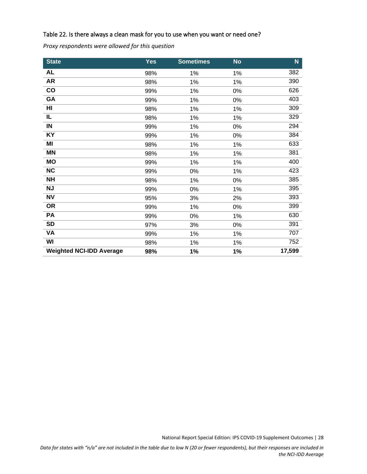#### <span id="page-28-0"></span>Table 22. Is there always a clean mask for you to use when you want or need one?

*Proxy respondents were allowed for this question*

| <b>State</b>                    | <b>Yes</b> | <b>Sometimes</b> | <b>No</b> | $\mathbf N$ |
|---------------------------------|------------|------------------|-----------|-------------|
| <b>AL</b>                       | 98%        | 1%               | 1%        | 382         |
| <b>AR</b>                       | 98%        | 1%               | 1%        | 390         |
| co                              | 99%        | 1%               | 0%        | 626         |
| GA                              | 99%        | 1%               | 0%        | 403         |
| HI                              | 98%        | 1%               | 1%        | 309         |
| IL                              | 98%        | 1%               | 1%        | 329         |
| IN                              | 99%        | 1%               | 0%        | 294         |
| KY                              | 99%        | 1%               | 0%        | 384         |
| MI                              | 98%        | 1%               | 1%        | 633         |
| <b>MN</b>                       | 98%        | 1%               | 1%        | 381         |
| <b>MO</b>                       | 99%        | 1%               | 1%        | 400         |
| <b>NC</b>                       | 99%        | $0\%$            | 1%        | 423         |
| <b>NH</b>                       | 98%        | 1%               | 0%        | 385         |
| NJ                              | 99%        | 0%               | 1%        | 395         |
| <b>NV</b>                       | 95%        | 3%               | 2%        | 393         |
| <b>OR</b>                       | 99%        | 1%               | 0%        | 399         |
| PA                              | 99%        | $0\%$            | 1%        | 630         |
| <b>SD</b>                       | 97%        | 3%               | 0%        | 391         |
| VA                              | 99%        | 1%               | 1%        | 707         |
| WI                              | 98%        | 1%               | 1%        | 752         |
| <b>Weighted NCI-IDD Average</b> | 98%        | 1%               | 1%        | 17,599      |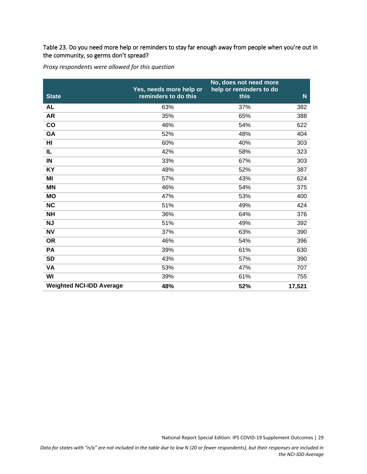#### <span id="page-29-0"></span>Table 23. Do you need more help or reminders to stay far enough away from people when you're out in the community, so germs don't spread?

*Proxy respondents were allowed for this question*

| <b>State</b>                    | Yes, needs more help or<br>reminders to do this | No, does not need more<br>help or reminders to do<br>this | $\mathsf{N}$ |
|---------------------------------|-------------------------------------------------|-----------------------------------------------------------|--------------|
| <b>AL</b>                       | 63%                                             | 37%                                                       | 382          |
| <b>AR</b>                       | 35%                                             | 65%                                                       | 388          |
| co                              | 46%                                             | 54%                                                       | 622          |
| GA                              | 52%                                             | 48%                                                       | 404          |
| HI                              | 60%                                             | 40%                                                       | 303          |
| IL                              | 42%                                             | 58%                                                       | 323          |
| $\blacksquare$                  | 33%                                             | 67%                                                       | 303          |
| KY                              | 48%                                             | 52%                                                       | 387          |
| MI                              | 57%                                             | 43%                                                       | 624          |
| <b>MN</b>                       | 46%                                             | 54%                                                       | 375          |
| <b>MO</b>                       | 47%                                             | 53%                                                       | 400          |
| <b>NC</b>                       | 51%                                             | 49%                                                       | 424          |
| <b>NH</b>                       | 36%                                             | 64%                                                       | 376          |
| <b>NJ</b>                       | 51%                                             | 49%                                                       | 392          |
| <b>NV</b>                       | 37%                                             | 63%                                                       | 390          |
| <b>OR</b>                       | 46%                                             | 54%                                                       | 396          |
| PA                              | 39%                                             | 61%                                                       | 630          |
| <b>SD</b>                       | 43%                                             | 57%                                                       | 390          |
| VA                              | 53%                                             | 47%                                                       | 707          |
| WI                              | 39%                                             | 61%                                                       | 755          |
| <b>Weighted NCI-IDD Average</b> | 48%                                             | 52%                                                       | 17,521       |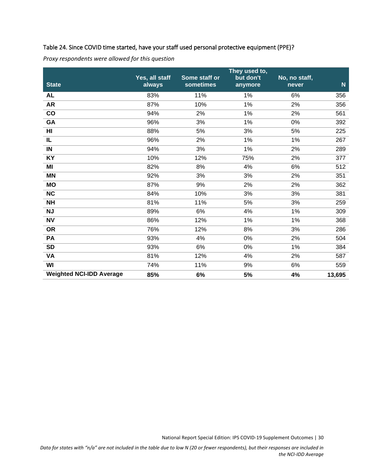#### <span id="page-30-0"></span>Table 24. Since COVID time started, have your staff used personal protective equipment (PPE)?

| <b>State</b>                    | Yes, all staff<br>always | Some staff or<br>sometimes | They used to,<br>but don't<br>anymore | No, no staff,<br>never | $\mathsf{N}$ |
|---------------------------------|--------------------------|----------------------------|---------------------------------------|------------------------|--------------|
| <b>AL</b>                       | 83%                      | 11%                        | 1%                                    | 6%                     | 356          |
| <b>AR</b>                       | 87%                      | 10%                        | 1%                                    | 2%                     | 356          |
| co                              | 94%                      | 2%                         | 1%                                    | 2%                     | 561          |
| GA                              | 96%                      | 3%                         | 1%                                    | 0%                     | 392          |
| HI                              | 88%                      | 5%                         | 3%                                    | 5%                     | 225          |
| $\overline{\mathsf{IL}}$        | 96%                      | 2%                         | 1%                                    | $1\%$                  | 267          |
| IN                              | 94%                      | 3%                         | 1%                                    | 2%                     | 289          |
| KY                              | 10%                      | 12%                        | 75%                                   | 2%                     | 377          |
| MI                              | 82%                      | 8%                         | 4%                                    | 6%                     | 512          |
| <b>MN</b>                       | 92%                      | 3%                         | 3%                                    | 2%                     | 351          |
| <b>MO</b>                       | 87%                      | 9%                         | 2%                                    | 2%                     | 362          |
| <b>NC</b>                       | 84%                      | 10%                        | 3%                                    | 3%                     | 381          |
| <b>NH</b>                       | 81%                      | 11%                        | 5%                                    | 3%                     | 259          |
| <b>NJ</b>                       | 89%                      | 6%                         | 4%                                    | 1%                     | 309          |
| <b>NV</b>                       | 86%                      | 12%                        | 1%                                    | 1%                     | 368          |
| <b>OR</b>                       | 76%                      | 12%                        | 8%                                    | 3%                     | 286          |
| PA                              | 93%                      | 4%                         | 0%                                    | 2%                     | 504          |
| <b>SD</b>                       | 93%                      | 6%                         | 0%                                    | 1%                     | 384          |
| VA                              | 81%                      | 12%                        | 4%                                    | 2%                     | 587          |
| WI                              | 74%                      | 11%                        | 9%                                    | 6%                     | 559          |
| <b>Weighted NCI-IDD Average</b> | 85%                      | 6%                         | 5%                                    | 4%                     | 13,695       |

*Proxy respondents were allowed for this question*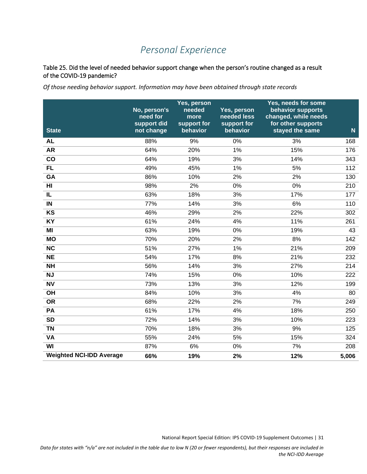## *Personal Experience*

#### <span id="page-31-1"></span><span id="page-31-0"></span>Table 25. Did the level of needed behavior support change when the person's routine changed as a result of the COVID-19 pandemic?

*Of those needing behavior support. Information may have been obtained through state records*

| <b>State</b>                    | No, person's<br>need for<br>support did<br>not change | Yes, person<br>needed<br>more<br>support for<br>behavior | Yes, person<br>needed less<br>support for<br>behavior | Yes, needs for some<br>behavior supports<br>changed, while needs<br>for other supports<br>stayed the same | N     |
|---------------------------------|-------------------------------------------------------|----------------------------------------------------------|-------------------------------------------------------|-----------------------------------------------------------------------------------------------------------|-------|
| <b>AL</b>                       | 88%                                                   | 9%                                                       | 0%                                                    | 3%                                                                                                        | 168   |
| <b>AR</b>                       | 64%                                                   | 20%                                                      | $1\%$                                                 | 15%                                                                                                       | 176   |
| $\overline{\text{co}}$          | 64%                                                   | 19%                                                      | 3%                                                    | 14%                                                                                                       | 343   |
| <b>FL</b>                       | 49%                                                   | 45%                                                      | 1%                                                    | 5%                                                                                                        | 112   |
| <b>GA</b>                       | 86%                                                   | 10%                                                      | 2%                                                    | 2%                                                                                                        | 130   |
|                                 |                                                       |                                                          |                                                       |                                                                                                           |       |
| HI                              | 98%                                                   | 2%                                                       | 0%                                                    | 0%                                                                                                        | 210   |
| IL                              | 63%                                                   | 18%                                                      | 3%                                                    | 17%                                                                                                       | 177   |
| $\blacksquare$                  | 77%                                                   | 14%                                                      | 3%                                                    | 6%                                                                                                        | 110   |
| KS                              | 46%                                                   | 29%                                                      | 2%                                                    | 22%                                                                                                       | 302   |
| <b>KY</b>                       | 61%                                                   | 24%                                                      | 4%                                                    | 11%                                                                                                       | 261   |
| MI                              | 63%                                                   | 19%                                                      | 0%                                                    | 19%                                                                                                       | 43    |
| <b>MO</b>                       | 70%                                                   | 20%                                                      | 2%                                                    | 8%                                                                                                        | 142   |
| $\overline{\text{NC}}$          | 51%                                                   | 27%                                                      | 1%                                                    | 21%                                                                                                       | 209   |
| <b>NE</b>                       | 54%                                                   | 17%                                                      | 8%                                                    | 21%                                                                                                       | 232   |
| <b>NH</b>                       | 56%                                                   | 14%                                                      | 3%                                                    | 27%                                                                                                       | 214   |
| <b>NJ</b>                       | 74%                                                   | 15%                                                      | 0%                                                    | 10%                                                                                                       | 222   |
| <b>NV</b>                       | 73%                                                   | 13%                                                      | 3%                                                    | 12%                                                                                                       | 199   |
| $\overline{OH}$                 | 84%                                                   | 10%                                                      | 3%                                                    | 4%                                                                                                        | 80    |
| <b>OR</b>                       | 68%                                                   | 22%                                                      | 2%                                                    | 7%                                                                                                        | 249   |
| <b>PA</b>                       | 61%                                                   | 17%                                                      | 4%                                                    | 18%                                                                                                       | 250   |
| <b>SD</b>                       | 72%                                                   | 14%                                                      | 3%                                                    | 10%                                                                                                       | 223   |
| <b>TN</b>                       | 70%                                                   | 18%                                                      | 3%                                                    | 9%                                                                                                        | 125   |
| <b>VA</b>                       | 55%                                                   | 24%                                                      | 5%                                                    | 15%                                                                                                       | 324   |
| WI                              | 87%                                                   | 6%                                                       | 0%                                                    | 7%                                                                                                        | 208   |
| <b>Weighted NCI-IDD Average</b> | 66%                                                   | 19%                                                      | 2%                                                    | 12%                                                                                                       | 5,006 |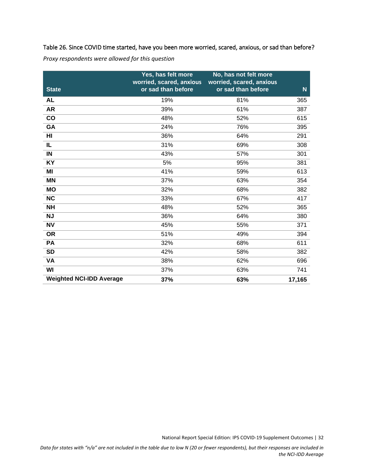<span id="page-32-0"></span>Table 26. Since COVID time started, have you been more worried, scared, anxious, or sad than before?

|  | Proxy respondents were allowed for this question |
|--|--------------------------------------------------|
|--|--------------------------------------------------|

| <b>State</b>                    | Yes, has felt more<br>worried, scared, anxious<br>or sad than before | No, has not felt more<br>worried, scared, anxious<br>or sad than before | $\mathsf{N}$ |
|---------------------------------|----------------------------------------------------------------------|-------------------------------------------------------------------------|--------------|
| <b>AL</b>                       | 19%                                                                  | 81%                                                                     | 365          |
| <b>AR</b>                       | 39%                                                                  | 61%                                                                     | 387          |
| co                              | 48%                                                                  | 52%                                                                     | 615          |
| GA                              | 24%                                                                  | 76%                                                                     | 395          |
| HI                              | 36%                                                                  | 64%                                                                     | 291          |
| IL                              | 31%                                                                  | 69%                                                                     | 308          |
| $\blacksquare$                  | 43%                                                                  | 57%                                                                     | 301          |
| <b>KY</b>                       | 5%                                                                   | 95%                                                                     | 381          |
| MI                              | 41%                                                                  | 59%                                                                     | 613          |
| <b>MN</b>                       | 37%                                                                  | 63%                                                                     | 354          |
| <b>MO</b>                       | 32%                                                                  | 68%                                                                     | 382          |
| NC                              | 33%                                                                  | 67%                                                                     | 417          |
| <b>NH</b>                       | 48%                                                                  | 52%                                                                     | 365          |
| <b>NJ</b>                       | 36%                                                                  | 64%                                                                     | 380          |
| <b>NV</b>                       | 45%                                                                  | 55%                                                                     | 371          |
| <b>OR</b>                       | 51%                                                                  | 49%                                                                     | 394          |
| PA                              | 32%                                                                  | 68%                                                                     | 611          |
| <b>SD</b>                       | 42%                                                                  | 58%                                                                     | 382          |
| <b>VA</b>                       | 38%                                                                  | 62%                                                                     | 696          |
| WI                              | 37%                                                                  | 63%                                                                     | 741          |
| <b>Weighted NCI-IDD Average</b> | 37%                                                                  | 63%                                                                     | 17,165       |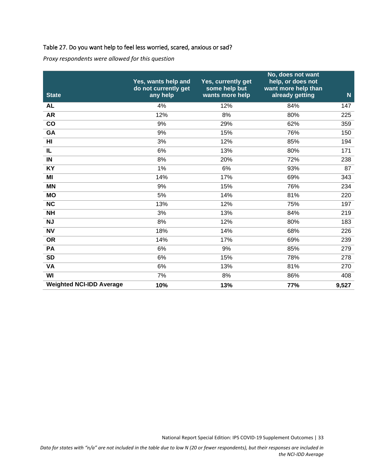#### <span id="page-33-0"></span>Table 27. Do you want help to feel less worried, scared, anxious or sad?

*Proxy respondents were allowed for this question*

| <b>State</b>                    | Yes, wants help and<br>do not currently get<br>any help | Yes, currently get<br>some help but<br>wants more help | No, does not want<br>help, or does not<br>want more help than<br>already getting | $\overline{\mathsf{N}}$ |
|---------------------------------|---------------------------------------------------------|--------------------------------------------------------|----------------------------------------------------------------------------------|-------------------------|
| <b>AL</b>                       | 4%                                                      | 12%                                                    | 84%                                                                              | 147                     |
| <b>AR</b>                       | 12%                                                     | 8%                                                     | 80%                                                                              | 225                     |
| co                              | 9%                                                      | 29%                                                    | 62%                                                                              | 359                     |
| GA                              | 9%                                                      | 15%                                                    | 76%                                                                              | 150                     |
| $\overline{H}$                  | 3%                                                      | 12%                                                    | 85%                                                                              | 194                     |
| IL                              | 6%                                                      | 13%                                                    | 80%                                                                              | 171                     |
| IN                              | 8%                                                      | 20%                                                    | 72%                                                                              | 238                     |
| KY                              | 1%                                                      | 6%                                                     | 93%                                                                              | 87                      |
| MI                              | 14%                                                     | 17%                                                    | 69%                                                                              | 343                     |
| <b>MN</b>                       | 9%                                                      | 15%                                                    | 76%                                                                              | 234                     |
| <b>MO</b>                       | 5%                                                      | 14%                                                    | 81%                                                                              | 220                     |
| <b>NC</b>                       | 13%                                                     | 12%                                                    | 75%                                                                              | 197                     |
| <b>NH</b>                       | 3%                                                      | 13%                                                    | 84%                                                                              | 219                     |
| NJ                              | 8%                                                      | 12%                                                    | 80%                                                                              | 183                     |
| <b>NV</b>                       | 18%                                                     | 14%                                                    | 68%                                                                              | 226                     |
| <b>OR</b>                       | 14%                                                     | 17%                                                    | 69%                                                                              | 239                     |
| PA                              | 6%                                                      | 9%                                                     | 85%                                                                              | 279                     |
| <b>SD</b>                       | 6%                                                      | 15%                                                    | 78%                                                                              | 278                     |
| <b>VA</b>                       | 6%                                                      | 13%                                                    | 81%                                                                              | 270                     |
| WI                              | 7%                                                      | 8%                                                     | 86%                                                                              | 408                     |
| <b>Weighted NCI-IDD Average</b> | 10%                                                     | 13%                                                    | 77%                                                                              | 9,527                   |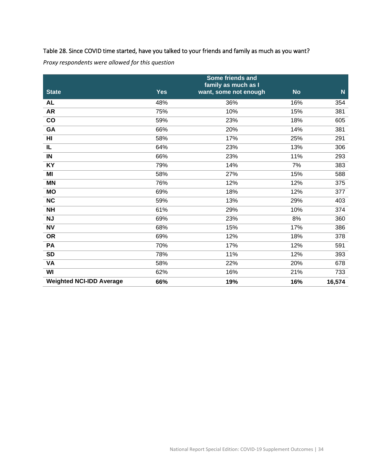#### <span id="page-34-0"></span>Table 28. Since COVID time started, have you talked to your friends and family as much as you want?

*Proxy respondents were allowed for this question*

|                                 |            | Some friends and                             |           |             |
|---------------------------------|------------|----------------------------------------------|-----------|-------------|
| <b>State</b>                    | <b>Yes</b> | family as much as I<br>want, some not enough | <b>No</b> | $\mathbf N$ |
| <b>AL</b>                       | 48%        | 36%                                          | 16%       | 354         |
| <b>AR</b>                       | 75%        | 10%                                          | 15%       | 381         |
| $\mathbf{co}$                   | 59%        | 23%                                          | 18%       | 605         |
| GA                              | 66%        | 20%                                          | 14%       | 381         |
| H <sub>II</sub>                 | 58%        | 17%                                          | 25%       | 291         |
| IL                              | 64%        | 23%                                          | 13%       | 306         |
| $\blacksquare$                  | 66%        | 23%                                          | 11%       | 293         |
| KY                              | 79%        | 14%                                          | 7%        | 383         |
| MI                              | 58%        | 27%                                          | 15%       | 588         |
| <b>MN</b>                       | 76%        | 12%                                          | 12%       | 375         |
| <b>MO</b>                       | 69%        | 18%                                          | 12%       | 377         |
| NC                              | 59%        | 13%                                          | 29%       | 403         |
| <b>NH</b>                       | 61%        | 29%                                          | 10%       | 374         |
| <b>NJ</b>                       | 69%        | 23%                                          | 8%        | 360         |
| <b>NV</b>                       | 68%        | 15%                                          | 17%       | 386         |
| <b>OR</b>                       | 69%        | 12%                                          | 18%       | 378         |
| PA                              | 70%        | 17%                                          | 12%       | 591         |
| <b>SD</b>                       | 78%        | 11%                                          | 12%       | 393         |
| <b>VA</b>                       | 58%        | 22%                                          | 20%       | 678         |
| WI                              | 62%        | 16%                                          | 21%       | 733         |
| <b>Weighted NCI-IDD Average</b> | 66%        | 19%                                          | 16%       | 16,574      |